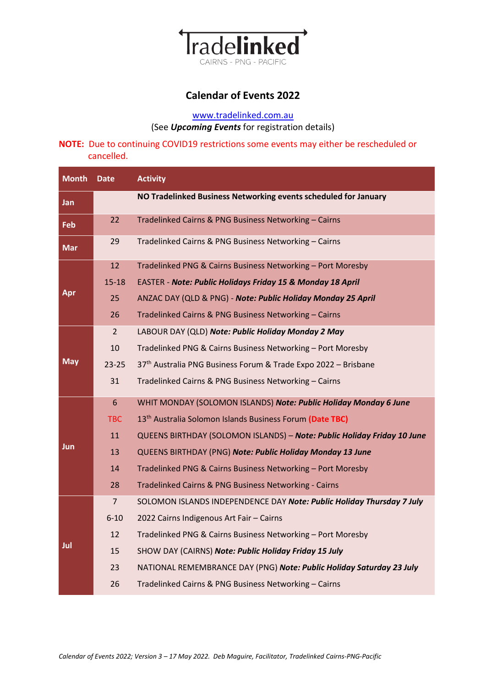

# **Calendar of Events 2022**

## [www.tradelinked.com.au](http://www.tradelinked.com.au/) (See *Upcoming Events* for registration details)

### **NOTE:** Due to continuing COVID19 restrictions some events may either be rescheduled or cancelled.

| <b>Month</b>              | <b>Date</b>    | <b>Activity</b>                                                         |
|---------------------------|----------------|-------------------------------------------------------------------------|
| Jan                       |                | NO Tradelinked Business Networking events scheduled for January         |
| Feb                       | 22             | Tradelinked Cairns & PNG Business Networking - Cairns                   |
| $\overline{\mathsf{Mar}}$ | 29             | Tradelinked Cairns & PNG Business Networking - Cairns                   |
| Apr                       | 12             | Tradelinked PNG & Cairns Business Networking - Port Moresby             |
|                           | $15 - 18$      | EASTER - Note: Public Holidays Friday 15 & Monday 18 April              |
|                           | 25             | ANZAC DAY (QLD & PNG) - Note: Public Holiday Monday 25 April            |
|                           | 26             | Tradelinked Cairns & PNG Business Networking - Cairns                   |
| <b>May</b>                | $\overline{2}$ | LABOUR DAY (QLD) Note: Public Holiday Monday 2 May                      |
|                           | 10             | Tradelinked PNG & Cairns Business Networking - Port Moresby             |
|                           | $23 - 25$      | 37th Australia PNG Business Forum & Trade Expo 2022 - Brisbane          |
|                           | 31             | Tradelinked Cairns & PNG Business Networking - Cairns                   |
| Jun                       | 6              | WHIT MONDAY (SOLOMON ISLANDS) Note: Public Holiday Monday 6 June        |
|                           | <b>TBC</b>     | 13 <sup>th</sup> Australia Solomon Islands Business Forum (Date TBC)    |
|                           | 11             | QUEENS BIRTHDAY (SOLOMON ISLANDS) - Note: Public Holiday Friday 10 June |
|                           | 13             | QUEENS BIRTHDAY (PNG) Note: Public Holiday Monday 13 June               |
|                           | 14             | Tradelinked PNG & Cairns Business Networking - Port Moresby             |
|                           | 28             | Tradelinked Cairns & PNG Business Networking - Cairns                   |
| Jul                       | $\overline{7}$ | SOLOMON ISLANDS INDEPENDENCE DAY Note: Public Holiday Thursday 7 July   |
|                           | $6 - 10$       | 2022 Cairns Indigenous Art Fair - Cairns                                |
|                           | 12             | Tradelinked PNG & Cairns Business Networking - Port Moresby             |
|                           | 15             | SHOW DAY (CAIRNS) Note: Public Holiday Friday 15 July                   |
|                           | 23             | NATIONAL REMEMBRANCE DAY (PNG) Note: Public Holiday Saturday 23 July    |
|                           | 26             | Tradelinked Cairns & PNG Business Networking - Cairns                   |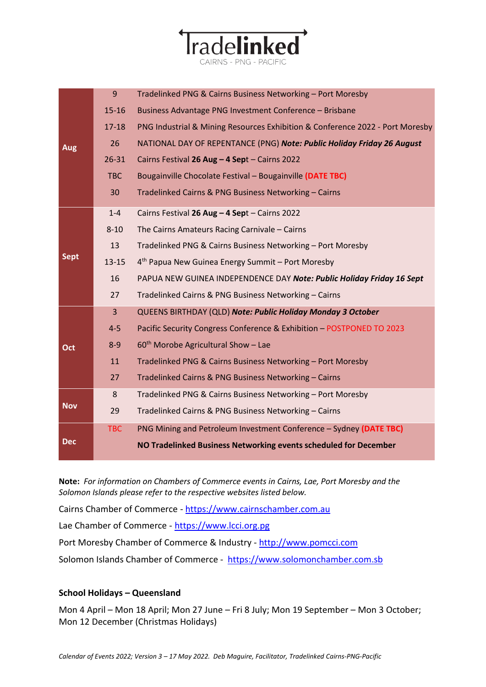| Aug         | 9          | Tradelinked PNG & Cairns Business Networking - Port Moresby                   |
|-------------|------------|-------------------------------------------------------------------------------|
|             | $15 - 16$  | Business Advantage PNG Investment Conference - Brisbane                       |
|             | $17 - 18$  | PNG Industrial & Mining Resources Exhibition & Conference 2022 - Port Moresby |
|             | 26         | NATIONAL DAY OF REPENTANCE (PNG) Note: Public Holiday Friday 26 August        |
|             | $26 - 31$  | Cairns Festival 26 Aug - 4 Sept - Cairns 2022                                 |
|             | <b>TBC</b> | Bougainville Chocolate Festival - Bougainville (DATE TBC)                     |
|             | 30         | Tradelinked Cairns & PNG Business Networking - Cairns                         |
|             | $1 - 4$    | Cairns Festival 26 Aug - 4 Sept - Cairns 2022                                 |
|             | $8 - 10$   | The Cairns Amateurs Racing Carnivale - Cairns                                 |
|             | 13         | Tradelinked PNG & Cairns Business Networking - Port Moresby                   |
| <b>Sept</b> | $13 - 15$  | 4 <sup>th</sup> Papua New Guinea Energy Summit - Port Moresby                 |
|             | 16         | PAPUA NEW GUINEA INDEPENDENCE DAY Note: Public Holiday Friday 16 Sept         |
|             | 27         | Tradelinked Cairns & PNG Business Networking - Cairns                         |
|             | 3          | QUEENS BIRTHDAY (QLD) Note: Public Holiday Monday 3 October                   |
|             | $4 - 5$    | Pacific Security Congress Conference & Exhibition - POSTPONED TO 2023         |
| Oct         | $8 - 9$    | $60th$ Morobe Agricultural Show - Lae                                         |
|             | 11         | Tradelinked PNG & Cairns Business Networking - Port Moresby                   |
|             | 27         | Tradelinked Cairns & PNG Business Networking - Cairns                         |
| <b>Nov</b>  | 8          | Tradelinked PNG & Cairns Business Networking - Port Moresby                   |
|             | 29         | Tradelinked Cairns & PNG Business Networking - Cairns                         |
| <b>Dec</b>  | <b>TBC</b> | PNG Mining and Petroleum Investment Conference - Sydney (DATE TBC)            |
|             |            | NO Tradelinked Business Networking events scheduled for December              |

radelinked

**Note:** *For information on Chambers of Commerce events in Cairns, Lae, Port Moresby and the Solomon Islands please refer to the respective websites listed below.*

Cairns Chamber of Commerce - [https://www.cairnschamber.com.au](https://www.cairnschamber.com.au/)

Lae Chamber of Commerce - [https://www.lcci.org.pg](https://www.lcci.org.pg/)

Port Moresby Chamber of Commerce & Industry - [http://www.pomcci.com](http://www.pomcci.com/)

Solomon Islands Chamber of Commerce - [https://www.solomonchamber.com.sb](https://www.solomonchamber.com.sb/)

#### **School Holidays – Queensland**

Mon 4 April – Mon 18 April; Mon 27 June – Fri 8 July; Mon 19 September – Mon 3 October; Mon 12 December (Christmas Holidays)